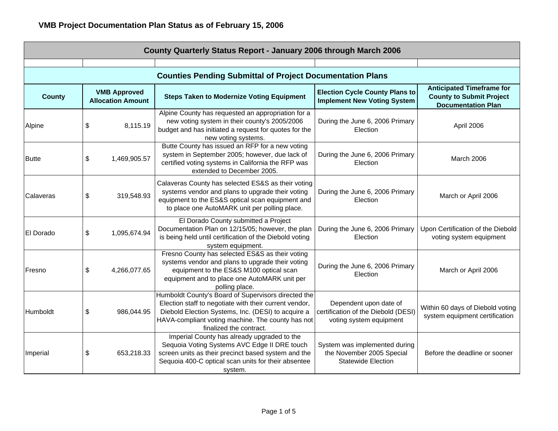| County Quarterly Status Report - January 2006 through March 2006 |                                                                  |                                                                                                                                                                                                                                                     |                                                                                          |                                                                                                  |  |  |
|------------------------------------------------------------------|------------------------------------------------------------------|-----------------------------------------------------------------------------------------------------------------------------------------------------------------------------------------------------------------------------------------------------|------------------------------------------------------------------------------------------|--------------------------------------------------------------------------------------------------|--|--|
|                                                                  |                                                                  |                                                                                                                                                                                                                                                     |                                                                                          |                                                                                                  |  |  |
|                                                                  | <b>Counties Pending Submittal of Project Documentation Plans</b> |                                                                                                                                                                                                                                                     |                                                                                          |                                                                                                  |  |  |
| <b>County</b>                                                    | <b>VMB Approved</b><br><b>Allocation Amount</b>                  | <b>Steps Taken to Modernize Voting Equipment</b>                                                                                                                                                                                                    | <b>Election Cycle County Plans to</b><br><b>Implement New Voting System</b>              | <b>Anticipated Timeframe for</b><br><b>County to Submit Project</b><br><b>Documentation Plan</b> |  |  |
| Alpine                                                           | \$<br>8,115.19                                                   | Alpine County has requested an appropriation for a<br>new voting system in their county's 2005/2006<br>budget and has initiated a request for quotes for the<br>new voting systems.                                                                 | During the June 6, 2006 Primary<br>Election                                              | April 2006                                                                                       |  |  |
| <b>Butte</b>                                                     | \$<br>1,469,905.57                                               | Butte County has issued an RFP for a new voting<br>system in September 2005; however, due lack of<br>certified voting systems in California the RFP was<br>extended to December 2005.                                                               | During the June 6, 2006 Primary<br>Election                                              | March 2006                                                                                       |  |  |
| Calaveras                                                        | \$<br>319,548.93                                                 | Calaveras County has selected ES&S as their voting<br>systems vendor and plans to upgrade their voting<br>equipment to the ES&S optical scan equipment and<br>to place one AutoMARK unit per polling place.                                         | During the June 6, 2006 Primary<br>Election                                              | March or April 2006                                                                              |  |  |
| El Dorado                                                        | \$<br>1,095,674.94                                               | El Dorado County submitted a Project<br>Documentation Plan on 12/15/05; however, the plan<br>is being held until certification of the Diebold voting<br>system equipment.                                                                           | During the June 6, 2006 Primary<br>Election                                              | Upon Certification of the Diebold<br>voting system equipment                                     |  |  |
| Fresno                                                           | $\$\$<br>4,266,077.65                                            | Fresno County has selected ES&S as their voting<br>systems vendor and plans to upgrade their voting<br>equipment to the ES&S M100 optical scan<br>equipment and to place one AutoMARK unit per<br>polling place.                                    | During the June 6, 2006 Primary<br>Election                                              | March or April 2006                                                                              |  |  |
| <b>Humboldt</b>                                                  | \$<br>986,044.95                                                 | Humboldt County's Board of Supervisors directed the<br>Election staff to negotiate with their current vendor,<br>Diebold Election Systems, Inc. (DESI) to acquire a<br>HAVA-compliant voting machine. The county has not<br>finalized the contract. | Dependent upon date of<br>certification of the Diebold (DESI)<br>voting system equipment | Within 60 days of Diebold voting<br>system equipment certification                               |  |  |
| Imperial                                                         | \$<br>653,218.33                                                 | Imperial County has already upgraded to the<br>Sequoia Voting Systems AVC Edge II DRE touch<br>screen units as their precinct based system and the<br>Sequoia 400-C optical scan units for their absentee<br>system.                                | System was implemented during<br>the November 2005 Special<br><b>Statewide Election</b>  | Before the deadline or sooner                                                                    |  |  |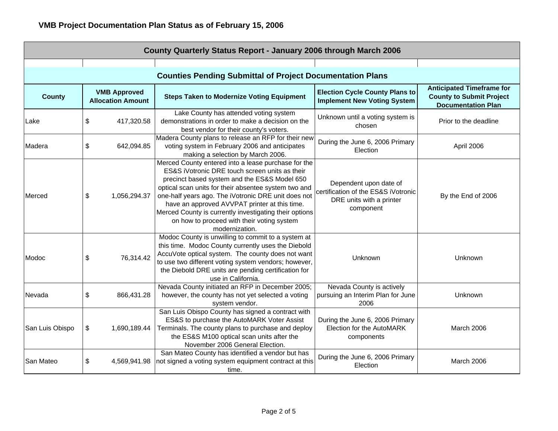| County Quarterly Status Report - January 2006 through March 2006 |    |                                                 |                                                                                                                                                                                                                                                                                                                                                                                                                                                 |                                                                                                        |                                                                                                  |
|------------------------------------------------------------------|----|-------------------------------------------------|-------------------------------------------------------------------------------------------------------------------------------------------------------------------------------------------------------------------------------------------------------------------------------------------------------------------------------------------------------------------------------------------------------------------------------------------------|--------------------------------------------------------------------------------------------------------|--------------------------------------------------------------------------------------------------|
|                                                                  |    |                                                 |                                                                                                                                                                                                                                                                                                                                                                                                                                                 |                                                                                                        |                                                                                                  |
| <b>Counties Pending Submittal of Project Documentation Plans</b> |    |                                                 |                                                                                                                                                                                                                                                                                                                                                                                                                                                 |                                                                                                        |                                                                                                  |
| <b>County</b>                                                    |    | <b>VMB Approved</b><br><b>Allocation Amount</b> | <b>Steps Taken to Modernize Voting Equipment</b>                                                                                                                                                                                                                                                                                                                                                                                                | <b>Election Cycle County Plans to</b><br><b>Implement New Voting System</b>                            | <b>Anticipated Timeframe for</b><br><b>County to Submit Project</b><br><b>Documentation Plan</b> |
| lLake                                                            | \$ | 417,320.58                                      | Lake County has attended voting system<br>demonstrations in order to make a decision on the<br>best vendor for their county's voters.                                                                                                                                                                                                                                                                                                           | Unknown until a voting system is<br>chosen                                                             | Prior to the deadline                                                                            |
| Madera                                                           | \$ | 642,094.85                                      | Madera County plans to release an RFP for their new<br>voting system in February 2006 and anticipates<br>making a selection by March 2006.                                                                                                                                                                                                                                                                                                      | During the June 6, 2006 Primary<br>Election                                                            | April 2006                                                                                       |
| Merced                                                           | \$ | 1,056,294.37                                    | Merced County entered into a lease purchase for the<br>ES&S iVotronic DRE touch screen units as their<br>precinct based system and the ES&S Model 650<br>optical scan units for their absentee system two and<br>one-half years ago. The iVotronic DRE unit does not<br>have an approved AVVPAT printer at this time.<br>Merced County is currently investigating their options<br>on how to proceed with their voting system<br>modernization. | Dependent upon date of<br>certification of the ES&S iVotronic<br>DRE units with a printer<br>component | By the End of 2006                                                                               |
| IModoc                                                           | \$ | 76,314.42                                       | Modoc County is unwilling to commit to a system at<br>this time. Modoc County currently uses the Diebold<br>AccuVote optical system. The county does not want<br>to use two different voting system vendors; however,<br>the Diebold DRE units are pending certification for<br>use in California.                                                                                                                                              | Unknown                                                                                                | Unknown                                                                                          |
| Nevada                                                           | \$ | 866,431.28                                      | Nevada County initiated an RFP in December 2005;<br>however, the county has not yet selected a voting<br>system vendor.                                                                                                                                                                                                                                                                                                                         | Nevada County is actively<br>pursuing an Interim Plan for June<br>2006                                 | Unknown                                                                                          |
| San Luis Obispo                                                  | \$ | 1,690,189.44                                    | San Luis Obispo County has signed a contract with<br>ES&S to purchase the AutoMARK Voter Assist<br>Terminals. The county plans to purchase and deploy<br>the ES&S M100 optical scan units after the<br>November 2006 General Election.                                                                                                                                                                                                          | During the June 6, 2006 Primary<br>Election for the AutoMARK<br>components                             | March 2006                                                                                       |
| San Mateo                                                        | \$ | 4,569,941.98                                    | San Mateo County has identified a vendor but has<br>not signed a voting system equipment contract at this<br>time.                                                                                                                                                                                                                                                                                                                              | During the June 6, 2006 Primary<br>Election                                                            | March 2006                                                                                       |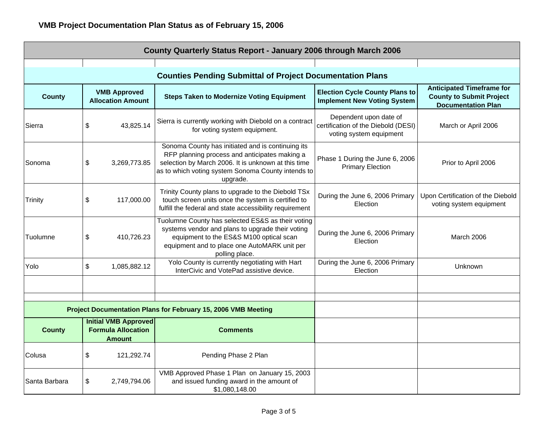| County Quarterly Status Report - January 2006 through March 2006                           |                                                 |                                                                                                                                                                                                                             |                                                                                          |                                                                                                  |  |
|--------------------------------------------------------------------------------------------|-------------------------------------------------|-----------------------------------------------------------------------------------------------------------------------------------------------------------------------------------------------------------------------------|------------------------------------------------------------------------------------------|--------------------------------------------------------------------------------------------------|--|
| <b>Counties Pending Submittal of Project Documentation Plans</b>                           |                                                 |                                                                                                                                                                                                                             |                                                                                          |                                                                                                  |  |
| <b>County</b>                                                                              | <b>VMB Approved</b><br><b>Allocation Amount</b> | <b>Steps Taken to Modernize Voting Equipment</b>                                                                                                                                                                            | <b>Election Cycle County Plans to</b><br><b>Implement New Voting System</b>              | <b>Anticipated Timeframe for</b><br><b>County to Submit Project</b><br><b>Documentation Plan</b> |  |
| Sierra                                                                                     | 43,825.14<br>\$                                 | Sierra is currently working with Diebold on a contract<br>for voting system equipment.                                                                                                                                      | Dependent upon date of<br>certification of the Diebold (DESI)<br>voting system equipment | March or April 2006                                                                              |  |
| Sonoma                                                                                     | \$<br>3,269,773.85                              | Sonoma County has initiated and is continuing its<br>RFP planning process and anticipates making a<br>selection by March 2006. It is unknown at this time<br>as to which voting system Sonoma County intends to<br>upgrade. | Phase 1 During the June 6, 2006<br><b>Primary Election</b>                               | Prior to April 2006                                                                              |  |
| <b>Trinity</b>                                                                             | \$<br>117,000.00                                | Trinity County plans to upgrade to the Diebold TSx<br>touch screen units once the system is certified to<br>fulfill the federal and state accessibility requirement                                                         | During the June 6, 2006 Primary<br>Election                                              | Upon Certification of the Diebold<br>voting system equipment                                     |  |
| Tuolumne                                                                                   | 410,726.23<br>\$                                | Tuolumne County has selected ES&S as their voting<br>systems vendor and plans to upgrade their voting<br>equipment to the ES&S M100 optical scan<br>equipment and to place one AutoMARK unit per<br>polling place.          | During the June 6, 2006 Primary<br>Election                                              | March 2006                                                                                       |  |
| Yolo                                                                                       | \$<br>1,085,882.12                              | Yolo County is currently negotiating with Hart<br>InterCivic and VotePad assistive device.                                                                                                                                  | During the June 6, 2006 Primary<br>Election                                              | Unknown                                                                                          |  |
|                                                                                            |                                                 |                                                                                                                                                                                                                             |                                                                                          |                                                                                                  |  |
|                                                                                            |                                                 | Project Documentation Plans for February 15, 2006 VMB Meeting                                                                                                                                                               |                                                                                          |                                                                                                  |  |
| <b>Initial VMB Approved</b><br><b>Formula Allocation</b><br><b>County</b><br><b>Amount</b> |                                                 | <b>Comments</b>                                                                                                                                                                                                             |                                                                                          |                                                                                                  |  |
| Colusa                                                                                     | \$<br>121,292.74                                | Pending Phase 2 Plan                                                                                                                                                                                                        |                                                                                          |                                                                                                  |  |
| Santa Barbara                                                                              | \$<br>2,749,794.06                              | VMB Approved Phase 1 Plan on January 15, 2003<br>and issued funding award in the amount of<br>\$1,080,148.00                                                                                                                |                                                                                          |                                                                                                  |  |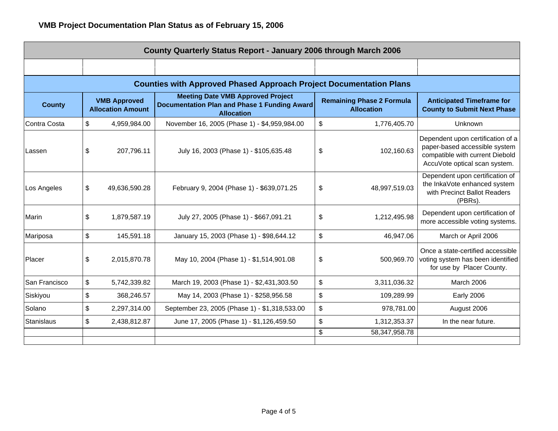| County Quarterly Status Report - January 2006 through March 2006 |                                                                           |               |                                                                                                                      |    |                                                       |                                                                                                                                        |  |
|------------------------------------------------------------------|---------------------------------------------------------------------------|---------------|----------------------------------------------------------------------------------------------------------------------|----|-------------------------------------------------------|----------------------------------------------------------------------------------------------------------------------------------------|--|
|                                                                  |                                                                           |               |                                                                                                                      |    |                                                       |                                                                                                                                        |  |
|                                                                  | <b>Counties with Approved Phased Approach Project Documentation Plans</b> |               |                                                                                                                      |    |                                                       |                                                                                                                                        |  |
| <b>County</b>                                                    | <b>VMB Approved</b><br><b>Allocation Amount</b>                           |               | <b>Meeting Date VMB Approved Project</b><br><b>Documentation Plan and Phase 1 Funding Award</b><br><b>Allocation</b> |    | <b>Remaining Phase 2 Formula</b><br><b>Allocation</b> | <b>Anticipated Timeframe for</b><br><b>County to Submit Next Phase</b>                                                                 |  |
| Contra Costa                                                     | \$                                                                        | 4,959,984.00  | November 16, 2005 (Phase 1) - \$4,959,984.00                                                                         | \$ | 1,776,405.70                                          | Unknown                                                                                                                                |  |
| Lassen                                                           | \$                                                                        | 207,796.11    | July 16, 2003 (Phase 1) - \$105,635.48                                                                               | \$ | 102,160.63                                            | Dependent upon certification of a<br>paper-based accessible system<br>compatible with current Diebold<br>AccuVote optical scan system. |  |
| Los Angeles                                                      | \$                                                                        | 49,636,590.28 | February 9, 2004 (Phase 1) - \$639,071.25                                                                            | \$ | 48,997,519.03                                         | Dependent upon certification of<br>the InkaVote enhanced system<br>with Precinct Ballot Readers<br>(PBRs).                             |  |
| Marin                                                            | \$                                                                        | 1,879,587.19  | July 27, 2005 (Phase 1) - \$667,091.21                                                                               | \$ | 1,212,495.98                                          | Dependent upon certification of<br>more accessible voting systems.                                                                     |  |
| Mariposa                                                         | \$                                                                        | 145,591.18    | January 15, 2003 (Phase 1) - \$98,644.12                                                                             | \$ | 46,947.06                                             | March or April 2006                                                                                                                    |  |
| Placer                                                           | \$                                                                        | 2,015,870.78  | May 10, 2004 (Phase 1) - \$1,514,901.08                                                                              | \$ | 500,969.70                                            | Once a state-certified accessible<br>voting system has been identified<br>for use by Placer County.                                    |  |
| San Francisco                                                    | \$                                                                        | 5,742,339.82  | March 19, 2003 (Phase 1) - \$2,431,303.50                                                                            | \$ | 3,311,036.32                                          | March 2006                                                                                                                             |  |
| Siskiyou                                                         | \$                                                                        | 368,246.57    | May 14, 2003 (Phase 1) - \$258,956.58                                                                                | \$ | 109,289.99                                            | <b>Early 2006</b>                                                                                                                      |  |
| Solano                                                           | \$                                                                        | 2,297,314.00  | September 23, 2005 (Phase 1) - \$1,318,533.00                                                                        | \$ | 978,781.00                                            | August 2006                                                                                                                            |  |
| Stanislaus                                                       | \$                                                                        | 2,438,812.87  | June 17, 2005 (Phase 1) - \$1,126,459.50                                                                             | \$ | 1,312,353.37                                          | In the near future.                                                                                                                    |  |
|                                                                  |                                                                           |               |                                                                                                                      | \$ | 58,347,958.78                                         |                                                                                                                                        |  |